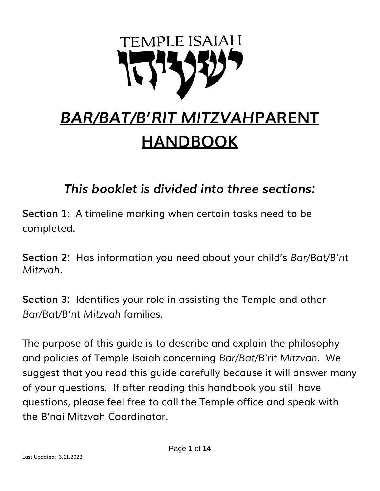

# *BAR/BAT/B'RIT MITZVAH***PARENT HANDBOOK**

*This booklet is divided into three sections:*

**Section 1**: A timeline marking when certain tasks need to be completed.

**Section 2:** Has information you need about your child's *Bar/Bat/B'rit Mitzvah.*

**Section 3:** Identifies your role in assisting the Temple and other *Bar/Bat/B'rit Mitzvah* families.

The purpose of this guide is to describe and explain the philosophy and policies of Temple Isaiah concerning *Bar/Bat/B'rit Mitzvah.* We suggest that you read this guide carefully because it will answer many of your questions. If after reading this handbook you still have questions, please feel free to call the Temple office and speak with the B'nai Mitzvah Coordinator.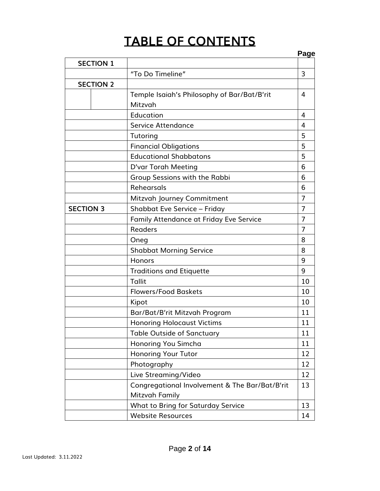## **TABLE OF CONTENTS**

|                  |                                                | Page           |
|------------------|------------------------------------------------|----------------|
| <b>SECTION 1</b> |                                                |                |
|                  | "To Do Timeline"                               | 3              |
| <b>SECTION 2</b> |                                                |                |
|                  | Temple Isaiah's Philosophy of Bar/Bat/B'rit    | 4              |
|                  | Mitzvah                                        |                |
|                  | Education                                      | 4              |
|                  | <b>Service Attendance</b>                      | 4              |
|                  | Tutoring                                       | 5              |
|                  | <b>Financial Obligations</b>                   | 5              |
|                  | <b>Educational Shabbatons</b>                  | 5              |
|                  | D'var Torah Meeting                            | 6              |
|                  | Group Sessions with the Rabbi                  | 6              |
|                  | Rehearsals                                     | 6              |
|                  | Mitzvah Journey Commitment                     | $\overline{7}$ |
| <b>SECTION 3</b> | <b>Shabbat Eve Service - Friday</b>            | 7              |
|                  | Family Attendance at Friday Eve Service        | 7              |
|                  | <b>Readers</b>                                 | 7              |
|                  | Oneg                                           | 8              |
|                  | <b>Shabbat Morning Service</b>                 | 8              |
|                  | Honors                                         | 9              |
|                  | <b>Traditions and Etiquette</b>                | 9              |
|                  | Tallit                                         | 10             |
|                  | <b>Flowers/Food Baskets</b>                    | 10             |
|                  | Kipot                                          | 10             |
|                  | Bar/Bat/B'rit Mitzvah Program                  | 11             |
|                  | <b>Honoring Holocaust Victims</b>              | 11             |
|                  | <b>Table Outside of Sanctuary</b>              | 11             |
|                  | Honoring You Simcha                            | 11             |
|                  | Honoring Your Tutor                            | 12             |
|                  | Photography                                    | 12             |
|                  | Live Streaming/Video                           | 12             |
|                  | Congregational Involvement & The Bar/Bat/B'rit | 13             |
|                  | Mitzvah Family                                 |                |
|                  | What to Bring for Saturday Service             | 13             |
|                  | <b>Website Resources</b>                       | 14             |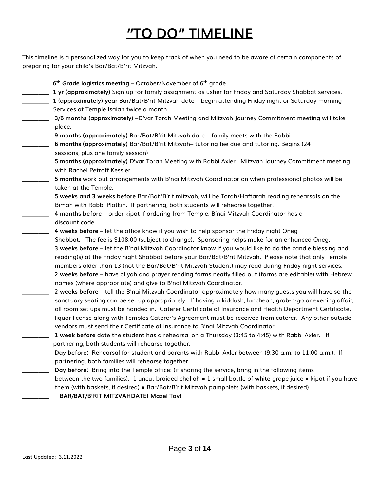## **"TO DO" TIMELINE**

This timeline is a personalized way for you to keep track of when you need to be aware of certain components of preparing for your child's Bar/Bat/B'rit Mitzvah.

- \_\_\_\_\_\_\_\_\_\_ **6 th Grade logistics meeting** October/November of 6th grade
- \_\_\_\_\_\_\_\_\_\_ **1 yr (approximately)** Sign up for family assignment as usher for Friday and Saturday Shabbat services.
- \_\_\_\_\_\_\_\_\_\_ **1** (**approximately) year** Bar/Bat/B'rit Mitzvah date begin attending Friday night or Saturday morning Services at Temple Isaiah twice a month.
- \_\_\_\_\_\_\_\_\_\_ **3/6 months (approximately)** –D'var Torah Meeting and Mitzvah Journey Commitment meeting will take place.
- \_\_\_\_\_\_\_\_\_\_ **9 months (approximately)** Bar/Bat/B'rit Mitzvah date family meets with the Rabbi.
- \_\_\_\_\_\_\_\_\_\_ **6 months (approximately)** Bar/Bat/B'rit Mitzvah– tutoring fee due and tutoring. Begins (24 sessions, plus one family session)
- \_\_\_\_\_\_\_\_\_\_ **5 months (approximately)** D'var Torah Meeting with Rabbi Axler. Mitzvah Journey Commitment meeting with Rachel Petroff Kessler.
- \_\_\_\_\_\_\_\_\_\_ **5 months** work out arrangements with B'nai Mitzvah Coordinator on when professional photos will be taken at the Temple.
- \_\_\_\_\_\_\_\_\_\_ **5 weeks and 3 weeks before** Bar/Bat/B'rit mitzvah, will be Torah/Haftarah reading rehearsals on the Bimah with Rabbi Plotkin. If partnering, both students will rehearse together.
- \_\_\_\_\_\_\_\_\_\_ **4 months before** order kipot if ordering from Temple. B'nai Mitzvah Coordinator has a discount code.
- \_\_\_\_\_\_\_\_\_\_ **4 weeks before** let the office know if you wish to help sponsor the Friday night Oneg Shabbat. The fee is \$108.00 (subject to change). Sponsoring helps make for an enhanced Oneg.
- \_\_\_\_\_\_\_\_\_\_ **3 weeks before** let the B'nai Mitzvah Coordinator know if you would like to do the candle blessing and reading(s) at the Friday night Shabbat before your Bar/Bat/B'rit Mitzvah. Please note that only Temple members older than 13 (not the Bar/Bat/B'rit Mitzvah Student) may read during Friday night services.
- \_\_\_\_\_\_\_\_\_\_ **2 weeks before** have aliyah and prayer reading forms neatly filled out (forms are editable) with Hebrew names (where appropriate) and give to B'nai Mitzvah Coordinator.
	- \_\_\_\_\_\_\_\_\_\_ **2 weeks before** tell the B'nai Mitzvah Coordinator approximately how many guests you will have so the sanctuary seating can be set up appropriately. If having a kiddush, luncheon, grab-n-go or evening affair, all room set ups must be handed in. Caterer Certificate of Insurance and Health Department Certificate, liquor license along with Temples Caterer's Agreement must be received from caterer. Any other outside vendors must send their Certificate of Insurance to B'nai Mitzvah Coordinator.
- \_\_\_\_\_\_\_\_\_\_ **1 week before** date the student has a rehearsal on a Thursday (3:45 to 4:45) with Rabbi Axler. If partnering, both students will rehearse together.
- \_\_\_\_\_\_\_\_\_\_ **Day before:** Rehearsal for student and parents with Rabbi Axler between (9:30 a.m. to 11:00 a.m.). If partnering, both families will rehearse together.
- \_\_\_\_\_\_\_\_\_\_ **Day before:** Bring into the Temple office: (if sharing the service, bring in the following items between the two families). 1 uncut braided challah ● 1 small bottle of **white** grape juice ● kipot if you have them (with baskets, if desired) ● Bar/Bat/B'rit Mitzvah pamphlets (with baskets, if desired)
	- \_\_\_\_\_\_\_\_\_\_ **BAR/BAT/B'RIT MITZVAHDATE! Mazel Tov!**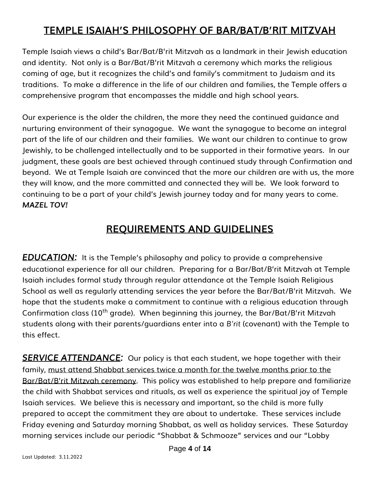#### **TEMPLE ISAIAH'S PHILOSOPHY OF BAR/BAT/B'RIT MITZVAH**

Temple Isaiah views a child's Bar/Bat/B'rit Mitzvah as a landmark in their Jewish education and identity. Not only is a Bar/Bat/B'rit Mitzvah a ceremony which marks the religious coming of age, but it recognizes the child's and family's commitment to Judaism and its traditions. To make a difference in the life of our children and families, the Temple offers a comprehensive program that encompasses the middle and high school years.

Our experience is the older the children, the more they need the continued guidance and nurturing environment of their synagogue. We want the synagogue to become an integral part of the life of our children and their families. We want our children to continue to grow Jewishly, to be challenged intellectually and to be supported in their formative years. In our judgment, these goals are best achieved through continued study through Confirmation and beyond. We at Temple Isaiah are convinced that the more our children are with us, the more they will know, and the more committed and connected they will be. We look forward to continuing to be a part of your child's Jewish journey today and for many years to come. *MAZEL TOV!*

#### **REQUIREMENTS AND GUIDELINES**

*EDUCATION:* It is the Temple's philosophy and policy to provide a comprehensive educational experience for all our children. Preparing for a Bar/Bat/B'rit Mitzvah at Temple Isaiah includes formal study through regular attendance at the Temple Isaiah Religious School as well as regularly attending services the year before the Bar/Bat/B'rit Mitzvah. We hope that the students make a commitment to continue with a religious education through Confirmation class (10<sup>th</sup> grade). When beginning this journey, the Bar/Bat/B'rit Mitzvah students along with their parents/guardians enter into a *B'rit* (covenant) with the Temple to this effect.

**SERVICE ATTENDANCE:** Our policy is that each student, we hope together with their family, must attend Shabbat services twice a month for the twelve months prior to the Bar/Bat/B'rit Mitzvah ceremony. This policy was established to help prepare and familiarize the child with Shabbat services and rituals, as well as experience the spiritual joy of Temple Isaiah services. We believe this is necessary and important, so the child is more fully prepared to accept the commitment they are about to undertake. These services include Friday evening and Saturday morning Shabbat, as well as holiday services. These Saturday morning services include our periodic "Shabbat & Schmooze" services and our "Lobby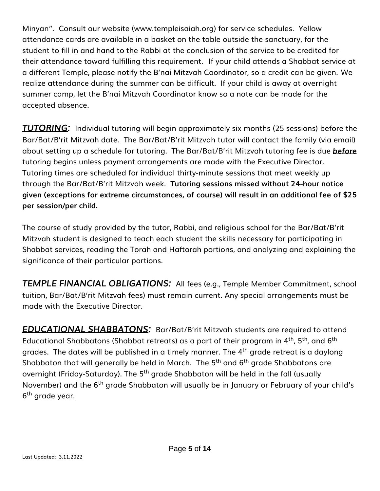Minyan". Consult our website [\(www.templeisaiah.org\)](http://www.templeisaiah.org/) for service schedules. Yellow attendance cards are available in a basket on the table outside the sanctuary, for the student to fill in and hand to the Rabbi at the conclusion of the service to be credited for their attendance toward fulfilling this requirement.If your child attends a Shabbat service at a different Temple, please notify the B'nai Mitzvah Coordinator, so a credit can be given. We realize attendance during the summer can be difficult. If your child is away at overnight summer camp, let the B'nai Mitzvah Coordinator know so a note can be made for the accepted absence.

*TUTORING:* Individual tutoring will begin approximately six months (25 sessions) before the Bar/Bat/B'rit Mitzvah date. The Bar/Bat/B'rit Mitzvah tutor will contact the family (via email) about setting up a schedule for tutoring. The Bar/Bat/B'rit Mitzvah tutoring fee is due *before* tutoring begins unless payment arrangements are made with the Executive Director. Tutoring times are scheduled for individual thirty-minute sessions that meet weekly up through the Bar/Bat/B'rit Mitzvah week. **Tutoring sessions missed without 24-hour notice given (exceptions for extreme circumstances, of course) will result in an additional fee of \$25 per session/per child.**

The course of study provided by the tutor, Rabbi, and religious school for the Bar/Bat/B'rit Mitzvah student is designed to teach each student the skills necessary for participating in Shabbat services, reading the Torah and Haftorah portions, and analyzing and explaining the significance of their particular portions.

*TEMPLE FINANCIAL OBLIGATIONS:* All fees (e.g., Temple Member Commitment, school tuition, Bar/Bat/B'rit Mitzvah fees) must remain current. Any special arrangements must be made with the Executive Director.

*EDUCATIONAL SHABBATONS:* Bar/Bat/B'rit Mitzvah students are required to attend Educational Shabbatons (Shabbat retreats) as a part of their program in  $4<sup>th</sup>$ ,  $5<sup>th</sup>$ , and  $6<sup>th</sup>$ grades. The dates will be published in a timely manner. The 4<sup>th</sup> grade retreat is a daylong Shabbaton that will generally be held in March. The 5<sup>th</sup> and 6<sup>th</sup> grade Shabbatons are overnight (Friday-Saturday). The 5<sup>th</sup> grade Shabbaton will be held in the fall (usually November) and the 6<sup>th</sup> grade Shabbaton will usually be in January or February of your child's 6<sup>th</sup> grade year.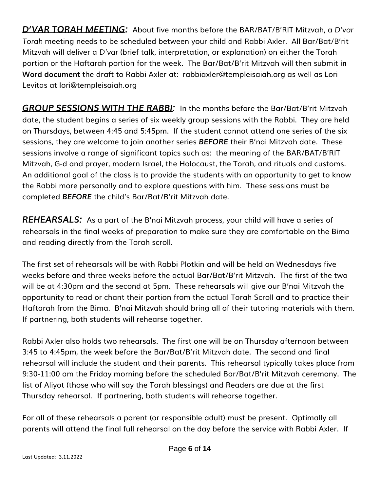*D'VAR TORAH MEETING:* About five months before the BAR/BAT/B'RIT Mitzvah, a *D'var Torah* meeting needs to be scheduled between your child and Rabbi Axler. All Bar/Bat/B'rit Mitzvah will deliver a *D'var* (brief talk, interpretation, or explanation) on either the Torah portion or the Haftarah portion for the week. The Bar/Bat/B'rit Mitzvah will then submit **in Word document** the draft to Rabbi Axler at: [rabbiaxler@templeisaiah.org](mailto:rabbiaxler@templeisaiah.org) as well as Lori Levitas at [lori@templeisaiah.org](mailto:lori@templeisaiah.org)

*GROUP SESSIONS WITH THE RABBI:* In the months before the Bar/Bat/B'rit Mitzvah date, the student begins a series of six weekly group sessions with the Rabbi. They are held on Thursdays, between 4:45 and 5:45pm. If the student cannot attend one series of the six sessions, they are welcome to join another series *BEFORE* their B'nai Mitzvah date. These sessions involve a range of significant topics such as: the meaning of the BAR/BAT/B'RIT Mitzvah, G-d and prayer, modern Israel, the Holocaust, the Torah, and rituals and customs. An additional goal of the class is to provide the students with an opportunity to get to know the Rabbi more personally and to explore questions with him. These sessions must be completed *BEFORE* the child's Bar/Bat/B'rit Mitzvah date.

*REHEARSALS:* As a part of the B'nai Mitzvah process, your child will have a series of rehearsals in the final weeks of preparation to make sure they are comfortable on the Bima and reading directly from the Torah scroll.

The first set of rehearsals will be with Rabbi Plotkin and will be held on Wednesdays five weeks before and three weeks before the actual Bar/Bat/B'rit Mitzvah. The first of the two will be at 4:30pm and the second at 5pm. These rehearsals will give our B'nai Mitzvah the opportunity to read or chant their portion from the actual Torah Scroll and to practice their Haftarah from the Bima. B'nai Mitzvah should bring all of their tutoring materials with them. If partnering, both students will rehearse together.

Rabbi Axler also holds two rehearsals. The first one will be on Thursday afternoon between 3:45 to 4:45pm, the week before the Bar/Bat/B'rit Mitzvah date. The second and final rehearsal will include the student and their parents. This rehearsal typically takes place from 9:30-11:00 am the Friday morning before the scheduled Bar/Bat/B'rit Mitzvah ceremony. The list of Aliyot (those who will say the Torah blessings) and Readers are due at the first Thursday rehearsal. If partnering, both students will rehearse together.

For all of these rehearsals a parent (or responsible adult) must be present. Optimally all parents will attend the final full rehearsal on the day before the service with Rabbi Axler. If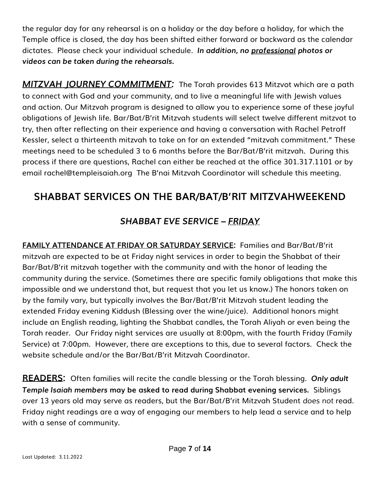the regular day for any rehearsal is on a holiday or the day before a holiday, for which the Temple office is closed, the day has been shifted either forward or backward as the calendar dictates. Please check your individual schedule. *In addition, no professional photos or videos can be taken during the rehearsals.* 

*MITZVAH JOURNEY COMMITMENT:*The Torah provides 613 Mitzvot which are a path to connect with God and your community, and to live a meaningful life with Jewish values and action. Our Mitzvah program is designed to allow you to experience some of these joyful obligations of Jewish life. Bar/Bat/B'rit Mitzvah students will select twelve different mitzvot to try, then after reflecting on their experience and having a conversation with Rachel Petroff Kessler, select a thirteenth mitzvah to take on for an extended "mitzvah commitment." These meetings need to be scheduled 3 to 6 months before the Bar/Bat/B'rit mitzvah. During this process if there are questions, Rachel can either be reached at the office 301.317.1101 or by email [rachel@templeisaiah.org](mailto:rachel@templeisaiah.org) The B'nai Mitzvah Coordinator will schedule this meeting.

#### **SHABBAT SERVICES ON THE BAR/BAT/B'RIT MITZVAHWEEKEND**

#### *SHABBAT EVE SERVICE – FRIDAY*

**FAMILY ATTENDANCE AT FRIDAY OR SATURDAY SERVICE:** Families and Bar/Bat/B'rit mitzvah are expected to be at Friday night services in order to begin the Shabbat of their Bar/Bat/B'rit mitzvah together with the community and with the honor of leading the community during the service. (Sometimes there are specific family obligations that make this impossible and we understand that, but request that you let us know.) The honors taken on by the family vary, but typically involves the Bar/Bat/B'rit Mitzvah student leading the extended Friday evening Kiddush (Blessing over the wine/juice). Additional honors might include an English reading, lighting the Shabbat candles, the Torah Aliyah or even being the Torah reader. Our Friday night services are usually at 8:00pm, with the fourth Friday (Family Service) at 7:00pm. However, there are exceptions to this, due to several factors. Check the website schedule and/or the Bar/Bat/B'rit Mitzvah Coordinator.

**READERS:** Often families will recite the candle blessing or the Torah blessing. *Only adult Temple Isaiah members* **may be asked to read during Shabbat evening services.** Siblings over 13 years old may serve as readers, but the Bar/Bat/B'rit Mitzvah Student *does not* read. Friday night readings are a way of engaging our members to help lead a service and to help with a sense of community.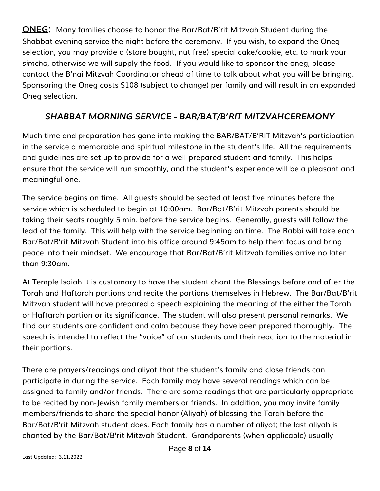**ONEG:** Many families choose to honor the Bar/Bat/B'rit Mitzvah Student during the Shabbat evening service the night before the ceremony. If you wish, to expand the Oneg selection, you may provide a (store bought, nut free) special cake/cookie, etc. to mark your *simcha*, otherwise we will supply the food. If you would like to sponsor the oneg, please contact the B'nai Mitzvah Coordinator ahead of time to talk about what you will be bringing. Sponsoring the Oneg costs \$108 (subject to change) per family and will result in an expanded Oneg selection.

#### *SHABBAT MORNING SERVICE - BAR/BAT/B'RIT MITZVAHCEREMONY*

Much time and preparation has gone into making the BAR/BAT/B'RIT Mitzvah's participation in the service a memorable and spiritual milestone in the student's life. All the requirements and guidelines are set up to provide for a well-prepared student and family. This helps ensure that the service will run smoothly, and the student's experience will be a pleasant and meaningful one.

The service begins on time. All guests should be seated at least five minutes before the service which is scheduled to begin at 10:00am. Bar/Bat/B'rit Mitzvah parents should be taking their seats roughly 5 min. before the service begins. Generally, guests will follow the lead of the family. This will help with the service beginning on time. The Rabbi will take each Bar/Bat/B'rit Mitzvah Student into his office around 9:45am to help them focus and bring peace into their mindset. We encourage that Bar/Bat/B'rit Mitzvah families arrive no later than 9:30am.

At Temple Isaiah it is customary to have the student chant the Blessings before and after the Torah and Haftorah portions and recite the portions themselves in Hebrew. The Bar/Bat/B'rit Mitzvah student will have prepared a speech explaining the meaning of the either the Torah or Haftarah portion or its significance. The student will also present personal remarks. We find our students are confident and calm because they have been prepared thoroughly. The speech is intended to reflect the "voice" of our students and their reaction to the material in their portions.

There are prayers/readings and aliyot that the student's family and close friends can participate in during the service. Each family may have several readings which can be assigned to family and/or friends. There are some readings that are particularly appropriate to be recited by non-Jewish family members or friends. In addition, you may invite family members/friends to share the special honor (Aliyah) of blessing the Torah before the Bar/Bat/B'rit Mitzvah student does. Each family has a number of aliyot; the last aliyah is chanted by the Bar/Bat/B'rit Mitzvah Student. Grandparents (when applicable) usually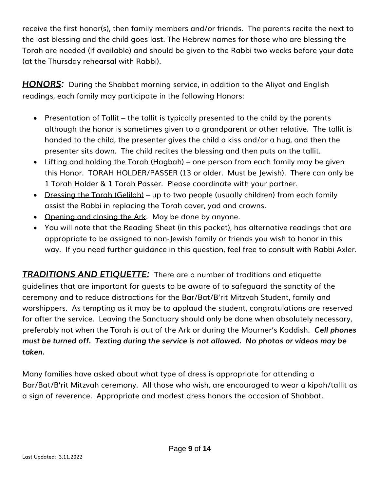receive the first honor(s), then family members and/or friends. The parents recite the next to the last blessing and the child goes last. The Hebrew names for those who are blessing the Torah are needed (if available) and should be given to the Rabbi two weeks before your date (at the Thursday rehearsal with Rabbi).

*HONORS:* During the Shabbat morning service, in addition to the Aliyot and English readings, each family may participate in the following Honors:

- Presentation of Tallit the tallit is typically presented to the child by the parents although the honor is sometimes given to a grandparent or other relative. The tallit is handed to the child, the presenter gives the child a kiss and/or a hug, and then the presenter sits down. The child recites the blessing and then puts on the tallit.
- Lifting and holding the Torah (Hagbah) one person from each family may be given this Honor. TORAH HOLDER/PASSER (13 or older. Must be Jewish). There can only be 1 Torah Holder & 1 Torah Passer. Please coordinate with your partner.
- Dressing the Torah (Gelilah) up to two people (usually children) from each family assist the Rabbi in replacing the Torah cover, yad and crowns.
- Opening and closing the Ark.May be done by anyone.
- You will note that the Reading Sheet (in this packet), has alternative readings that are appropriate to be assigned to non-Jewish family or friends you wish to honor in this way. If you need further guidance in this question, feel free to consult with Rabbi Axler.

**TRADITIONS AND ETIQUETTE:** There are a number of traditions and etiquette guidelines that are important for guests to be aware of to safeguard the sanctity of the ceremony and to reduce distractions for the Bar/Bat/B'rit Mitzvah Student, family and worshippers. As tempting as it may be to applaud the student, congratulations are reserved for after the service. Leaving the Sanctuary should only be done when absolutely necessary, preferably not when the Torah is out of the Ark or during the Mourner's Kaddish. *Cell phones must be turned off. Texting during the service is not allowed. No photos or videos may be taken.* 

Many families have asked about what type of dress is appropriate for attending a Bar/Bat/B'rit Mitzvah ceremony. All those who wish, are encouraged to wear a kipah/tallit as a sign of reverence. Appropriate and modest dress honors the occasion of Shabbat.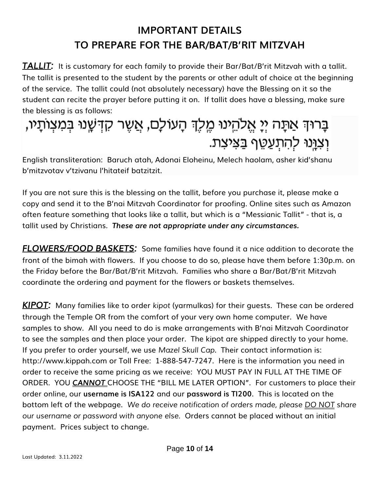### **IMPORTANT DETAILS TO PREPARE FOR THE BAR/BAT/B'RIT MITZVAH**

*TALLIT:* It is customary for each family to provide their Bar/Bat/B'rit Mitzvah with a tallit. The tallit is presented to the student by the parents or other adult of choice at the beginning of the service. The tallit could (not absolutely necessary) have the Blessing on it so the student can recite the prayer before putting it on. If tallit does have a blessing, make sure the blessing is as follows:

# בָּרוּךְ אַתָּה יְיָ אֱלֹהֵינוּ מֶלֶךְ הָעוֹלָם, אֲשֶׁר קִדְּשָׁנוּ בְּמִצְוֹתָיו, וְצְוֶנוּ לְהִתְעַטֵּף בַּצִּיצָת.

English transliteration: Baruch atah, Adonai Eloheinu, Melech haolam, asher kid'shanu b'mitzvotav v'tzivanu l'hitateif batzitzit.

If you are not sure this is the blessing on the tallit, before you purchase it, please make a copy and send it to the B'nai Mitzvah Coordinator for proofing. Online sites such as Amazon often feature something that looks like a tallit, but which is a "Messianic Tallit" - that is, a tallit used by Christians. *These are not appropriate under any circumstances.*

*FLOWERS/FOOD BASKETS:* Some families have found it a nice addition to decorate the front of the bimah with flowers. If you choose to do so, please have them before 1:30p.m. on the Friday before the Bar/Bat/B'rit Mitzvah. Families who share a Bar/Bat/B'rit Mitzvah coordinate the ordering and payment for the flowers or baskets themselves.

*KIPOT:* Many families like to order *kipot* (yarmulkas) for their guests. These can be ordered through the Temple OR from the comfort of your very own home computer. We have samples to show. All you need to do is make arrangements with B'nai Mitzvah Coordinator to see the samples and then place your order. The kipot are shipped directly to your home. If you prefer to order yourself, we use *Mazel Skull Cap*. Their contact information is: [http://www.kippah.com](http://www.kippah.com/) or Toll Free: 1-888-547-7247. Here is the information you need in order to receive the same pricing as we receive: YOU MUST PAY IN FULL AT THE TIME OF ORDER. YOU *CANNOT* CHOOSE THE "BILL ME LATER OPTION". For customers to place their order online, our **username is ISA122** and our **password is TI200**. This is located on the bottom left of the webpage. *We do receive notification of orders made, please DO NOT share our username or password with anyone else.* Orders cannot be placed without an initial payment. Prices subject to change.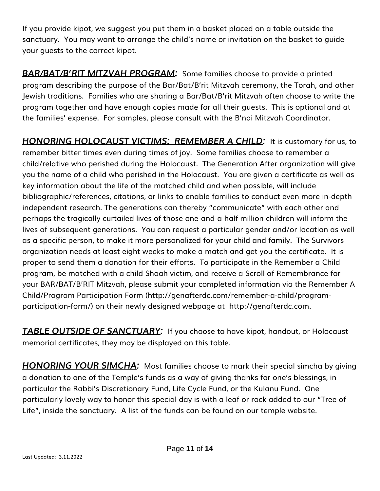If you provide kipot, we suggest you put them in a basket placed on a table outside the sanctuary. You may want to arrange the child's name or invitation on the basket to guide your guests to the correct kipot.

*BAR/BAT/B'RIT MITZVAH PROGRAM:* Some families choose to provide a printed program describing the purpose of the Bar/Bat/B'rit Mitzvah ceremony, the Torah, and other Jewish traditions. Families who are sharing a Bar/Bat/B'rit Mitzvah often choose to write the program together and have enough copies made for all their guests. This is optional and at the families' expense. For samples, please consult with the B'nai Mitzvah Coordinator.

*HONORING HOLOCAUST VICTIMS: REMEMBER A CHILD:* It is customary for us, to remember bitter times even during times of joy. Some families choose to remember a child/relative who perished during the Holocaust. The Generation After organization will give you the name of a child who perished in the Holocaust. You are given a certificate as well as key information about the life of the matched child and when possible, will include bibliographic/references, citations, or links to enable families to conduct even more in-depth independent research. The generations can thereby "communicate" with each other and perhaps the tragically curtailed lives of those one-and-a-half million children will inform the lives of subsequent generations. You can request a particular gender and/or location as well as a specific person, to make it more personalized for your child and family. The Survivors organization needs at least eight weeks to make a match and get you the certificate. It is proper to send them a donation for their efforts. To participate in the Remember a Child program, be matched with a child Shoah victim, and receive a Scroll of Remembrance for your BAR/BAT/B'RIT Mitzvah, please submit your completed information via the Remember A Child[/Program Participation Form](http://genafterdc.com/remember-a-child/program-participation-form/) [\(http://genafterdc.com/remember-a-child/program](http://genafterdc.com/remember-a-child/program-participation-form/)[participation-form/\)](http://genafterdc.com/remember-a-child/program-participation-form/) on their newly designed webpage at [http://genafterdc.com.](http://genafterdc.com/)

**TABLE OUTSIDE OF SANCTUARY:** If you choose to have kipot, handout, or Holocaust memorial certificates, they may be displayed on this table.

*HONORING YOUR SIMCHA:* Most families choose to mark their special simcha by giving a donation to one of the Temple's funds as a way of giving thanks for one's blessings, in particular the Rabbi's Discretionary Fund, Life Cycle Fund, or the Kulanu Fund. One particularly lovely way to honor this special day is with a leaf or rock added to our "Tree of Life", inside the sanctuary. A list of the funds can be found on our temple website.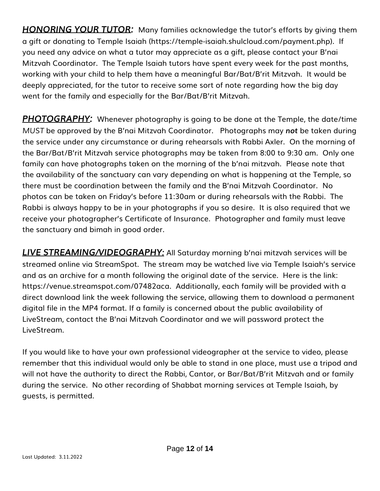*HONORING YOUR TUTOR:* Many families acknowledge the tutor's efforts by giving them a gift or donating to Temple Isaiah (https://temple-isaiah.shulcloud.com/payment.php). If you need any advice on what a tutor may appreciate as a gift, please contact your B'nai Mitzvah Coordinator. The Temple Isaiah tutors have spent every week for the past months, working with your child to help them have a meaningful Bar/Bat/B'rit Mitzvah. It would be deeply appreciated, for the tutor to receive some sort of note regarding how the big day went for the family and especially for the Bar/Bat/B'rit Mitzvah.

*PHOTOGRAPHY:* Whenever photography is going to be done at the Temple, the date/time *MUST* be approved by the B'nai Mitzvah Coordinator. Photographs may *not* be taken during the service under any circumstance or during rehearsals with Rabbi Axler. On the morning of the Bar/Bat/B'rit Mitzvah service photographs may be taken from 8:00 to 9:30 am. Only one family can have photographs taken on the morning of the b'nai mitzvah. Please note that the availability of the sanctuary can vary depending on what is happening at the Temple, so there must be coordination between the family and the B'nai Mitzvah Coordinator. No photos can be taken on Friday's before 11:30am or during rehearsals with the Rabbi. The Rabbi is always happy to be in your photographs if you so desire. It is also required that we receive your photographer's Certificate of Insurance. Photographer and family must leave the sanctuary and bimah in good order.

*LIVE STREAMING/VIDEOGRAPHY:* All Saturday morning b'nai mitzvah services will be streamed online via StreamSpot. The stream may be watched live via Temple Isaiah's service and as an archive for a month following the original date of the service. Here is the link: https://venue.streamspot.com/07482aca. Additionally, each family will be provided with a direct download link the week following the service, allowing them to download a permanent digital file in the MP4 format. If a family is concerned about the public availability of LiveStream, contact the B'nai Mitzvah Coordinator and we will password protect the LiveStream.

If you would like to have your own professional videographer at the service to video, please remember that this individual would only be able to stand in one place, must use a tripod and will not have the authority to direct the Rabbi, Cantor, or Bar/Bat/B'rit Mitzvah and or family during the service. No other recording of Shabbat morning services at Temple Isaiah, by guests, is permitted.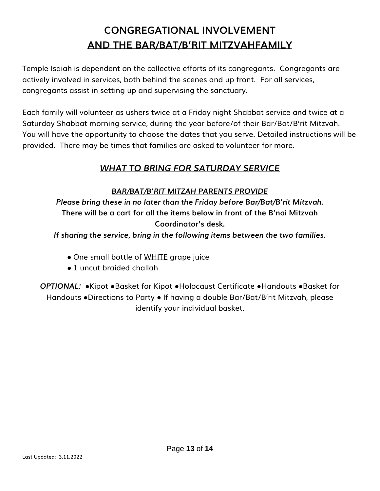### **CONGREGATIONAL INVOLVEMENT AND THE BAR/BAT/B'RIT MITZVAHFAMILY**

Temple Isaiah is dependent on the collective efforts of its congregants. Congregants are actively involved in services, both behind the scenes and up front. For all services, congregants assist in setting up and supervising the sanctuary.

Each family will volunteer as ushers twice at a Friday night Shabbat service and twice at a Saturday Shabbat morning service, during the year before/of their Bar/Bat/B'rit Mitzvah. You will have the opportunity to choose the dates that you serve. Detailed instructions will be provided. There may be times that families are asked to volunteer for more.

#### *WHAT TO BRING FOR SATURDAY SERVICE*

*BAR/BAT/B'RIT MITZAH PARENTS PROVIDE*

*Please bring these in no later than the Friday before Bar/Bat/B'rit Mitzvah.* **There will be a cart for all the items below in front of the B'nai Mitzvah Coordinator's desk.** 

*If sharing the service, bring in the following items between the two families.* 

- One small bottle of WHITE grape juice
- 1 uncut braided challah

*OPTIONAL:* ●Kipot ●Basket for Kipot ●Holocaust Certificate ●Handouts ●Basket for Handouts ●Directions to Party ● If having a double Bar/Bat/B'rit Mitzvah, please identify your individual basket.